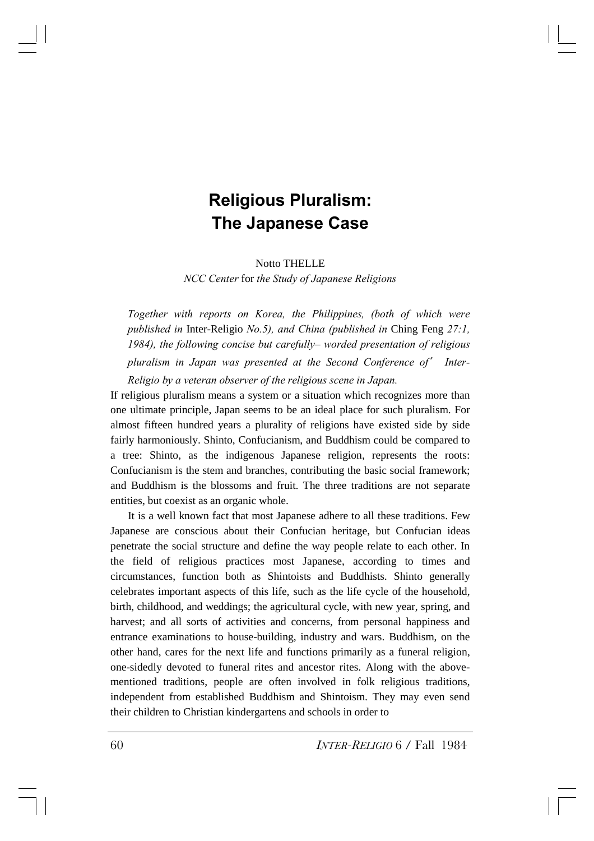## **Religious Pluralism: The Japanese Case**

Notto THELLE

*NCC Center* for *the Study of Japanese Religions*

*Together with reports on Korea, the Philippines, (both of which were published in* Inter-Religio *No.5), and China (published in* Ching Feng *27:1, 1984), the following concise but carefully– worded presentation of religious pluralism in Japan was presented at the Second Conference of*' *Inter-Religio by a veteran observer of the religious scene in Japan.*

If religious pluralism means a system or a situation which recognizes more than one ultimate principle, Japan seems to be an ideal place for such pluralism. For almost fifteen hundred years a plurality of religions have existed side by side fairly harmoniously. Shinto, Confucianism, and Buddhism could be compared to a tree: Shinto, as the indigenous Japanese religion, represents the roots: Confucianism is the stem and branches, contributing the basic social framework; and Buddhism is the blossoms and fruit. The three traditions are not separate entities, but coexist as an organic whole.

It is a well known fact that most Japanese adhere to all these traditions. Few Japanese are conscious about their Confucian heritage, but Confucian ideas penetrate the social structure and define the way people relate to each other. In the field of religious practices most Japanese, according to times and circumstances, function both as Shintoists and Buddhists. Shinto generally celebrates important aspects of this life, such as the life cycle of the household, birth, childhood, and weddings; the agricultural cycle, with new year, spring, and harvest; and all sorts of activities and concerns, from personal happiness and entrance examinations to house-building, industry and wars. Buddhism, on the other hand, cares for the next life and functions primarily as a funeral religion, one-sidedly devoted to funeral rites and ancestor rites. Along with the abovementioned traditions, people are often involved in folk religious traditions, independent from established Buddhism and Shintoism. They may even send their children to Christian kindergartens and schools in order to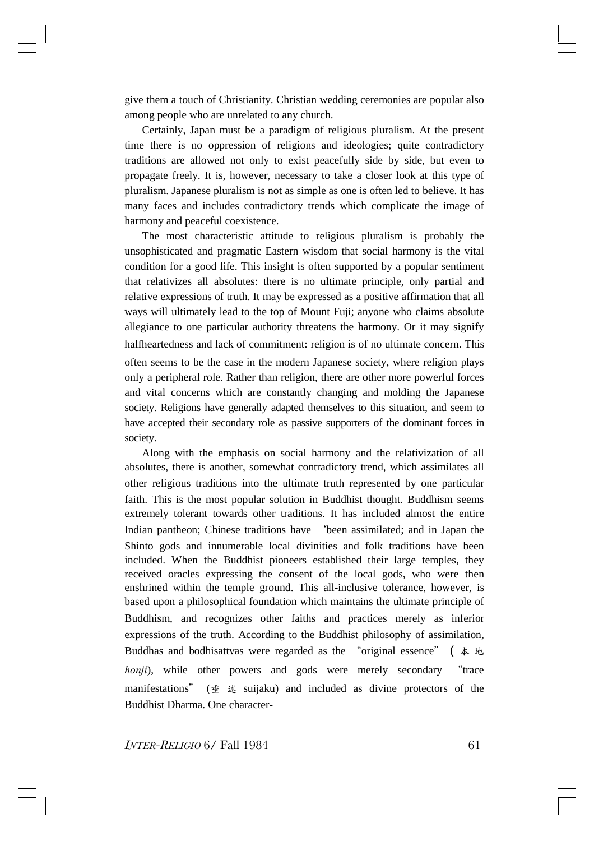give them a touch of Christianity. Christian wedding ceremonies are popular also among people who are unrelated to any church.

Certainly, Japan must be a paradigm of religious pluralism. At the present time there is no oppression of religions and ideologies; quite contradictory traditions are allowed not only to exist peacefully side by side, but even to propagate freely. It is, however, necessary to take a closer look at this type of pluralism. Japanese pluralism is not as simple as one is often led to believe. It has many faces and includes contradictory trends which complicate the image of harmony and peaceful coexistence.

The most characteristic attitude to religious pluralism is probably the unsophisticated and pragmatic Eastern wisdom that social harmony is the vital condition for a good life. This insight is often supported by a popular sentiment that relativizes all absolutes: there is no ultimate principle, only partial and relative expressions of truth. It may be expressed as a positive affirmation that all ways will ultimately lead to the top of Mount Fuji; anyone who claims absolute allegiance to one particular authority threatens the harmony. Or it may signify halfheartedness and lack of commitment: religion is of no ultimate concern. This often seems to be the case in the modern Japanese society, where religion plays only a peripheral role. Rather than religion, there are other more powerful forces and vital concerns which are constantly changing and molding the Japanese society. Religions have generally adapted themselves to this situation, and seem to have accepted their secondary role as passive supporters of the dominant forces in society.

Along with the emphasis on social harmony and the relativization of all absolutes, there is another, somewhat contradictory trend, which assimilates all other religious traditions into the ultimate truth represented by one particular faith. This is the most popular solution in Buddhist thought. Buddhism seems extremely tolerant towards other traditions. It has included almost the entire Indian pantheon; Chinese traditions have 'been assimilated; and in Japan the Shinto gods and innumerable local divinities and folk traditions have been included. When the Buddhist pioneers established their large temples, they received oracles expressing the consent of the local gods, who were then enshrined within the temple ground. This all-inclusive tolerance, however, is based upon a philosophical foundation which maintains the ultimate principle of Buddhism, and recognizes other faiths and practices merely as inferior expressions of the truth. According to the Buddhist philosophy of assimilation, Buddhas and bodhisattvas were regarded as the "original essence"  $($   $\ast$   $\star$ *honji*), while other powers and gods were merely secondary "trace manifestations" (垂 述 suijaku) and included as divine protectors of the Buddhist Dharma. One character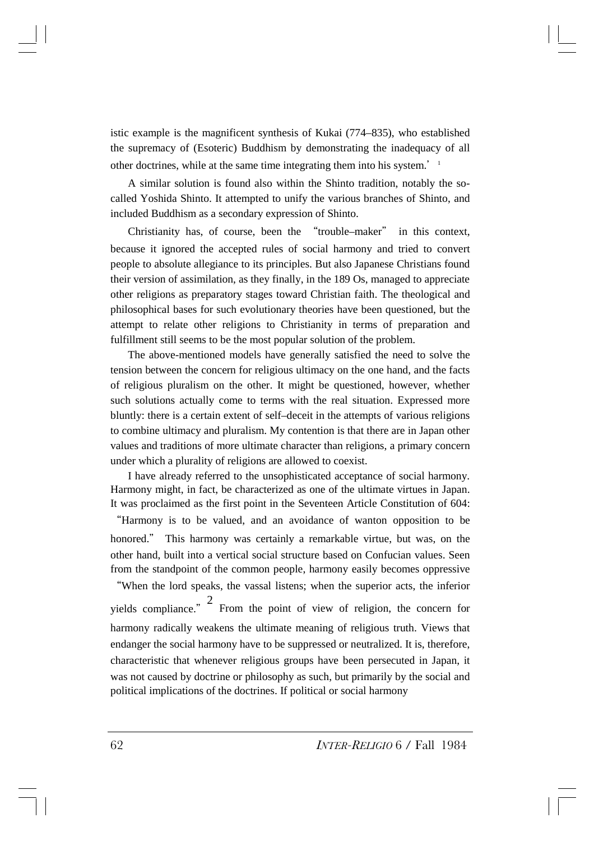istic example is the magnificent synthesis of Kukai (774–835), who established the supremacy of (Esoteric) Buddhism by demonstrating the inadequacy of all other doctrines, while at the same time integrating them into his system. $1$ 

A similar solution is found also within the Shinto tradition, notably the socalled Yoshida Shinto. It attempted to unify the various branches of Shinto, and included Buddhism as a secondary expression of Shinto.

Christianity has, of course, been the "trouble–maker" in this context, because it ignored the accepted rules of social harmony and tried to convert people to absolute allegiance to its principles. But also Japanese Christians found their version of assimilation, as they finally, in the 189 Os, managed to appreciate other religions as preparatory stages toward Christian faith. The theological and philosophical bases for such evolutionary theories have been questioned, but the attempt to relate other religions to Christianity in terms of preparation and fulfillment still seems to be the most popular solution of the problem.

The above-mentioned models have generally satisfied the need to solve the tension between the concern for religious ultimacy on the one hand, and the facts of religious pluralism on the other. It might be questioned, however, whether such solutions actually come to terms with the real situation. Expressed more bluntly: there is a certain extent of self–deceit in the attempts of various religions to combine ultimacy and pluralism. My contention is that there are in Japan other values and traditions of more ultimate character than religions, a primary concern under which a plurality of religions are allowed to coexist.

I have already referred to the unsophisticated acceptance of social harmony. Harmony might, in fact, be characterized as one of the ultimate virtues in Japan. It was proclaimed as the first point in the Seventeen Article Constitution of 604:

"Harmony is to be valued, and an avoidance of wanton opposition to be honored." This harmony was certainly a remarkable virtue, but was, on the other hand, built into a vertical social structure based on Confucian values. Seen from the standpoint of the common people, harmony easily becomes oppressive

"When the lord speaks, the vassal listens; when the superior acts, the inferior yields compliance."  $\frac{2}{\pi}$  From the point of view of religion, the concern for harmony radically weakens the ultimate meaning of religious truth. Views that endanger the social harmony have to be suppressed or neutralized. It is, therefore, characteristic that whenever religious groups have been persecuted in Japan, it was not caused by doctrine or philosophy as such, but primarily by the social and political implications of the doctrines. If political or social harmony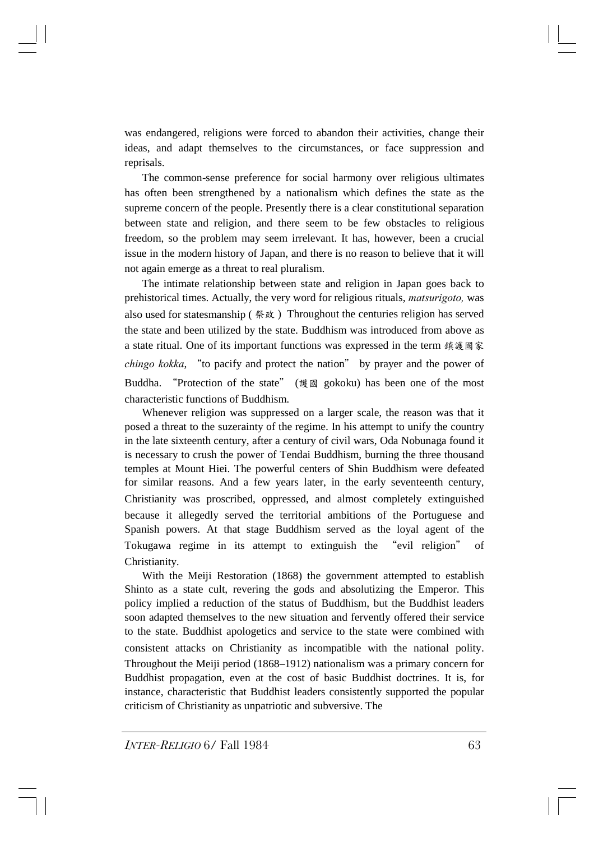was endangered, religions were forced to abandon their activities, change their ideas, and adapt themselves to the circumstances, or face suppression and reprisals.

The common-sense preference for social harmony over religious ultimates has often been strengthened by a nationalism which defines the state as the supreme concern of the people. Presently there is a clear constitutional separation between state and religion, and there seem to be few obstacles to religious freedom, so the problem may seem irrelevant. It has, however, been a crucial issue in the modern history of Japan, and there is no reason to believe that it will not again emerge as a threat to real pluralism.

The intimate relationship between state and religion in Japan goes back to prehistorical times. Actually, the very word for religious rituals, *matsurigoto,* was also used for statesmanship ( 祭政 ) Throughout the centuries religion has served the state and been utilized by the state. Buddhism was introduced from above as a state ritual. One of its important functions was expressed in the term 鎮護國家 *chingo kokka*, "to pacify and protect the nation" by prayer and the power of Buddha. "Protection of the state" (護國 gokoku) has been one of the most characteristic functions of Buddhism.

Whenever religion was suppressed on a larger scale, the reason was that it posed a threat to the suzerainty of the regime. In his attempt to unify the country in the late sixteenth century, after a century of civil wars, Oda Nobunaga found it is necessary to crush the power of Tendai Buddhism, burning the three thousand temples at Mount Hiei. The powerful centers of Shin Buddhism were defeated for similar reasons. And a few years later, in the early seventeenth century, Christianity was proscribed, oppressed, and almost completely extinguished because it allegedly served the territorial ambitions of the Portuguese and Spanish powers. At that stage Buddhism served as the loyal agent of the Tokugawa regime in its attempt to extinguish the "evil religion" of Christianity.

With the Meiji Restoration (1868) the government attempted to establish Shinto as a state cult, revering the gods and absolutizing the Emperor. This policy implied a reduction of the status of Buddhism, but the Buddhist leaders soon adapted themselves to the new situation and fervently offered their service to the state. Buddhist apologetics and service to the state were combined with consistent attacks on Christianity as incompatible with the national polity. Throughout the Meiji period (1868–1912) nationalism was a primary concern for Buddhist propagation, even at the cost of basic Buddhist doctrines. It is, for instance, characteristic that Buddhist leaders consistently supported the popular criticism of Christianity as unpatriotic and subversive. The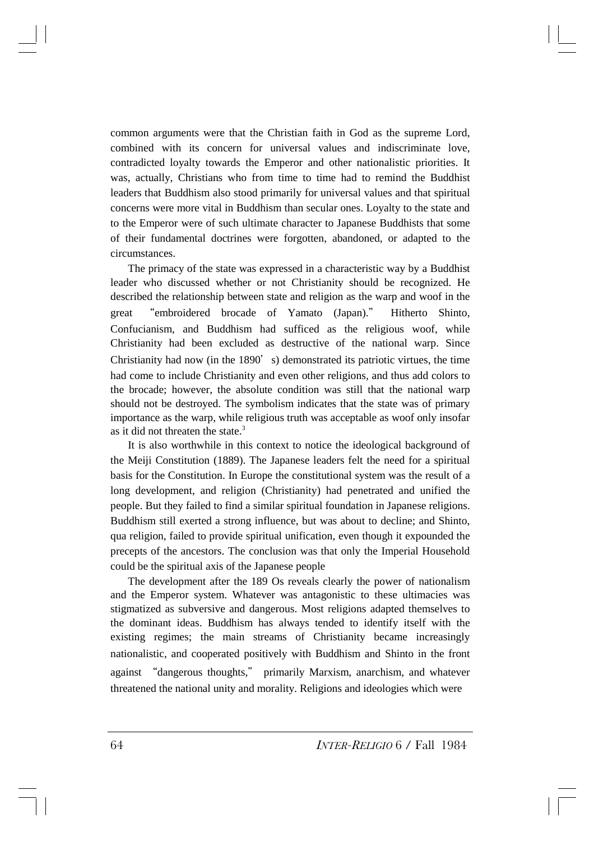common arguments were that the Christian faith in God as the supreme Lord, combined with its concern for universal values and indiscriminate love, contradicted loyalty towards the Emperor and other nationalistic priorities. It was, actually, Christians who from time to time had to remind the Buddhist leaders that Buddhism also stood primarily for universal values and that spiritual concerns were more vital in Buddhism than secular ones. Loyalty to the state and to the Emperor were of such ultimate character to Japanese Buddhists that some of their fundamental doctrines were forgotten, abandoned, or adapted to the circumstances.

The primacy of the state was expressed in a characteristic way by a Buddhist leader who discussed whether or not Christianity should be recognized. He described the relationship between state and religion as the warp and woof in the great "embroidered brocade of Yamato (Japan)." Hitherto Shinto, Confucianism, and Buddhism had sufficed as the religious woof, while Christianity had been excluded as destructive of the national warp. Since Christianity had now (in the  $1890'$ ) demonstrated its patriotic virtues, the time had come to include Christianity and even other religions, and thus add colors to the brocade; however, the absolute condition was still that the national warp should not be destroyed. The symbolism indicates that the state was of primary importance as the warp, while religious truth was acceptable as woof only insofar as it did not threaten the state.3

It is also worthwhile in this context to notice the ideological background of the Meiji Constitution (1889). The Japanese leaders felt the need for a spiritual basis for the Constitution. In Europe the constitutional system was the result of a long development, and religion (Christianity) had penetrated and unified the people. But they failed to find a similar spiritual foundation in Japanese religions. Buddhism still exerted a strong influence, but was about to decline; and Shinto, qua religion, failed to provide spiritual unification, even though it expounded the precepts of the ancestors. The conclusion was that only the Imperial Household could be the spiritual axis of the Japanese people

The development after the 189 Os reveals clearly the power of nationalism and the Emperor system. Whatever was antagonistic to these ultimacies was stigmatized as subversive and dangerous. Most religions adapted themselves to the dominant ideas. Buddhism has always tended to identify itself with the existing regimes; the main streams of Christianity became increasingly nationalistic, and cooperated positively with Buddhism and Shinto in the front against "dangerous thoughts," primarily Marxism, anarchism, and whatever threatened the national unity and morality. Religions and ideologies which were